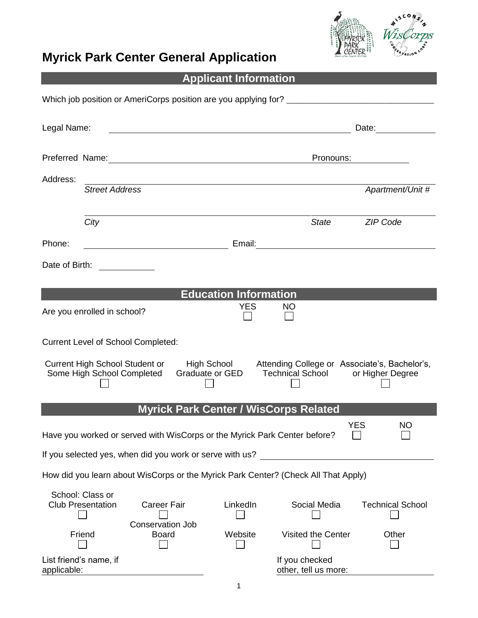

# **Myrick Park Center General Application**

| <b>Applicant Information</b>                                                                                                    |                                                                                                          |
|---------------------------------------------------------------------------------------------------------------------------------|----------------------------------------------------------------------------------------------------------|
|                                                                                                                                 |                                                                                                          |
| Legal Name:<br><u> 1989 - Johann Barn, mars et al. (b. 1989)</u>                                                                | Date: <u>________</u>                                                                                    |
|                                                                                                                                 |                                                                                                          |
| Preferred Name: 2008 and 2008 and 2008 and 2008 and 2008 and 2008 and 2008 and 2008 and 2008 and 200                            | Pronouns:                                                                                                |
| Address:<br><b>Street Address</b>                                                                                               | Apartment/Unit #                                                                                         |
|                                                                                                                                 |                                                                                                          |
| City                                                                                                                            | <i><b>State</b></i><br>ZIP Code                                                                          |
| Phone:<br><u> 1980 - Johann Barn, mars ar breist fan de Amerikaansk kommunent fan de Amerikaanske kommunent fan de Amerikaa</u> |                                                                                                          |
| Date of Birth:                                                                                                                  |                                                                                                          |
|                                                                                                                                 |                                                                                                          |
| <b>Education Information</b>                                                                                                    |                                                                                                          |
| Are you enrolled in school?                                                                                                     | <b>YES</b><br><b>NO</b>                                                                                  |
| <b>Current Level of School Completed:</b>                                                                                       |                                                                                                          |
| <b>Current High School Student or</b><br>Some High School Completed<br>Graduate or GED                                          | High School Attending College or Associate's, Bachelor's,<br><b>Technical School</b><br>or Higher Degree |
| <b>Myrick Park Center / WisCorps Related</b>                                                                                    |                                                                                                          |
| <b>YES</b><br>NO<br>Have you worked or served with WisCorps or the Myrick Park Center before?                                   |                                                                                                          |
| If you selected yes, when did you work or serve with us?                                                                        |                                                                                                          |
| How did you learn about WisCorps or the Myrick Park Center? (Check All That Apply)                                              |                                                                                                          |
| School: Class or<br><b>Club Presentation</b><br><b>Career Fair</b><br>LinkedIn<br><b>Conservation Job</b>                       | Social Media<br><b>Technical School</b>                                                                  |
| Friend<br>Website<br><b>Board</b>                                                                                               | Visited the Center<br>Other                                                                              |
| List friend's name, if<br>applicable:                                                                                           | If you checked<br>other, tell us more:                                                                   |